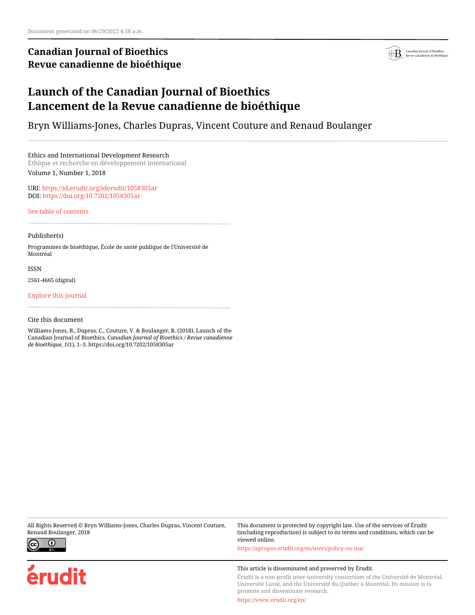# **Canadian Journal of Bioethics Revue canadienne de bioéthique**



# **Launch of the Canadian Journal of Bioethics Lancement de la Revue canadienne de bioéthique**

Bryn Williams-Jones, Charles Dupras, Vincent Couture and Renaud Boulanger

Ethics and International Development Research Éthique et recherche en développement international Volume 1, Number 1, 2018

URI:<https://id.erudit.org/iderudit/1058305ar> DOI:<https://doi.org/10.7202/1058305ar>

[See table of contents](https://www.erudit.org/en/journals/bioethics/2018-v1-n1-bioethics04468/)

## Publisher(s)

Programmes de bioéthique, École de santé publique de l'Université de Montréal

ISSN

2561-4665 (digital)

[Explore this journal](https://www.erudit.org/en/journals/bioethics/)

## Cite this document

Williams-Jones, B., Dupras, C., Couture, V. & Boulanger, R. (2018). Launch of the Canadian Journal of Bioethics. *Canadian Journal of Bioethics / Revue canadienne de bioéthique*, *1*(1), 1–3. https://doi.org/10.7202/1058305ar

All Rights Reserved © Bryn Williams-Jones, Charles Dupras, Vincent Couture, Renaud Boulanger, 2018



erudit

This document is protected by copyright law. Use of the services of Érudit (including reproduction) is subject to its terms and conditions, which can be viewed online.

<https://apropos.erudit.org/en/users/policy-on-use/>

### This article is disseminated and preserved by Érudit.

Érudit is a non-profit inter-university consortium of the Université de Montréal, Université Laval, and the Université du Québec à Montréal. Its mission is to promote and disseminate research.

<https://www.erudit.org/en/>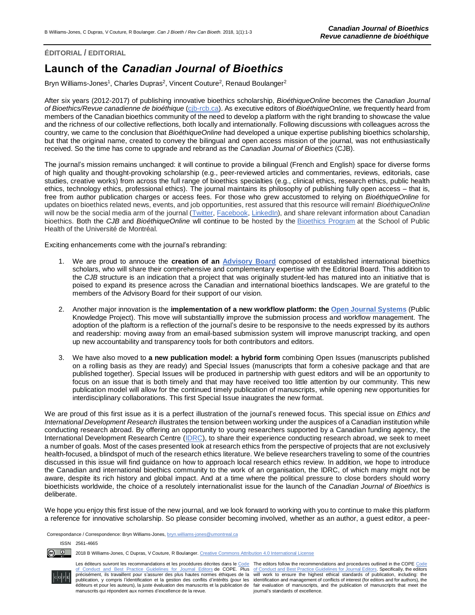## **ÉDITORIAL / EDITORIAL**

# **Launch of the** *Canadian Journal of Bioethics*

Bryn Williams-Jones<sup>1</sup>, Charles Dupras<sup>2</sup>, Vincent Couture<sup>2</sup>, Renaud Boulanger<sup>2</sup>

After six years (2012-2017) of publishing innovative bioethics scholarship, *BioéthiqueOnline* becomes the *Canadian Journal of Bioethics/Revue canadienne de bioéthique* [\(cjb-rcb.ca\)](https://cjb-rcb.ca/). As executive editors of *BioéthiqueOnline,* we frequently heard from members of the Canadian bioethics community of the need to develop a platform with the right branding to showcase the value and the richness of our collective reflections, both locally and internationally. Following discussions with colleagues across the country, we came to the conclusion that *BioéthiqueOnline* had developed a unique expertise publishing bioethics scholarship, but that the original name, created to convey the bilingual and open access mission of the journal, was not enthusiastically received. So the time has come to upgrade and rebrand as the *Canadian Journal of Bioethics* (CJB).

The journal's mission remains unchanged: it will continue to provide a bilingual (French and English) space for diverse forms of high quality and thought-provoking scholarship (e.g., peer-reviewed articles and commentaries, reviews, editorials, case studies, creative works) from across the full range of bioethics specialties (e.g., clinical ethics, research ethics, public health ethics, technology ethics, professional ethics). The journal maintains its philosophy of publishing fully open access – that is, free from author publication charges or access fees. For those who grew accustomed to relying on *BioéthiqueOnline* for updates on bioethics related news, events, and job opportunities, rest assured that this resource will remain! *BioéthiqueOnline* will now be the social media arm of the journal [\(Twitter,](http://twitter.com/bioethonline?) [Facebook,](https://www.facebook.com/Bio%C3%A9thiqueonline-1377370145908565/) [LinkedIn\)](http://www.linkedin.com/company/bio-thiqueonline), and share relevant information about Canadian bioethics. Both the *CJB* and *BioéthiqueOnline* wll continue to be hosted by the [Bioethics Program](http://espum.umontreal.ca/bioethique) at the School of Public Health of the Université de Montréal.

Exciting enhancements come with the journal's rebranding:

- 1. We are proud to annouce the **creation of an [Advisory Board](https://cjb-rcb.ca/index.php/cjb-rcb/navigationMenu/view/eab)** composed of established international bioethics scholars, who will share their comprehensive and complementary expertise with the Editorial Board. This addition to the *CJB* structure is an indication that a project that was originally student-led has matured into an initiative that is poised to expand its presence across the Canadian and international bioethics landscapes. We are grateful to the members of the Advisory Board for their support of our vision.
- 2. Another major innovation is the **implementation of a new workflow platform: the [Open Journal Systems](https://pkp.sfu.ca/ojs/)** (Public Knowledge Project). This move will substantiallly improve the submission process and workflow management. The adoption of the plaftorm is a reflection of the journal's desire to be responsive to the needs expressed by its authors and readership: moving away from an email-based submission system will improve manuscript tracking, and open up new accountability and transparency tools for both contributors and editors.
- 3. We have also moved to **a new publication model: a hybrid form** combining Open Issues (manuscripts published on a rolling basis as they are ready) and Special Issues (manuscripts that form a cohesive package and that are published together). Special Issues will be produced in partnership with guest editors and will be an opportunity to focus on an issue that is both timely and that may have received too little attention by our community. This new publication model will allow for the continued timely publication of manuscripts, while opening new opportunities for interdisciplinary collaborations. This first Special Issue inaugrates the new format.

We are proud of this first issue as it is a perfect illustration of the journal's renewed focus. This special issue on *Ethics and International Development Research* illustrates the tension between working under the auspices of a Canadian institution while conducting research abroad. By offering an opportunity to young researchers supported by a Canadian funding agency, the International Development Research Centre [\(IDRC\)](http://www.idrc.ca/), to share their experience conducting research abroad, we seek to meet a number of goals. Most of the cases presented look at research ethics from the perspective of projects that are not exclusively health-focused, a blindspot of much of the research ethics literature. We believe researchers traveling to some of the countries discussed in this issue will find guidance on how to approach local research ethics review. In addition, we hope to introduce the Canadian and international bioethics community to the work of an organisation, the IDRC, of which many might not be aware, despite its rich history and global impact. And at a time where the political pressure to close borders should worry bioethicists worldwide, the choice of a resolutely internationalist issue for the launch of the *Canadian Journal of Bioethics* is deliberate.

We hope you enjoy this first issue of the new journal, and we look forward to working with you to continue to make this platform a reference for innovative scholarship. So please consider becoming involved, whether as an author, a guest editor, a peer-

Correspondance / Correspondence: Bryn Williams-Jones[, bryn.williams-jones@umontreal.ca](mailto:bryn.williams-jones@umontreal.ca)

ISSN 2561-4665

<u>ේ</u> 2018 B Williams-Jones, C Dupras, V Couture, R Boulanger[. Creative Commons Attribution 4.0 International License](http://creativecommons.org/licenses/by/4.0/)



Les éditeurs suivront les recommandations et les procédures décrites dans le [Code](http://publicationethics.org/resources/code-conduct) The editors follow the recommendations and procedures outlined in the COPE Code<br>[of Conduct and Best Practice Guidelines for Journal Editors](http://publicationethics.org/resources/code-conduct) publication, y compris l'identification et la gestion des conflits d'intérêts (pour les éditeurs et pour les auteurs), la juste évaluation des manuscrits et la publication de manuscrits qui répondent aux normes d'excellence de la revue.

précisément, ils travaillent pour s'assurer des plus hautes normes éthiques de la will work to ensure the highest ethical standards of publication, including: the identification and management of conflicts of interest (for editors and for authors), the fair evaluation of manuscripts, and the publication of manuscripts that meet the journal's standards of excellence.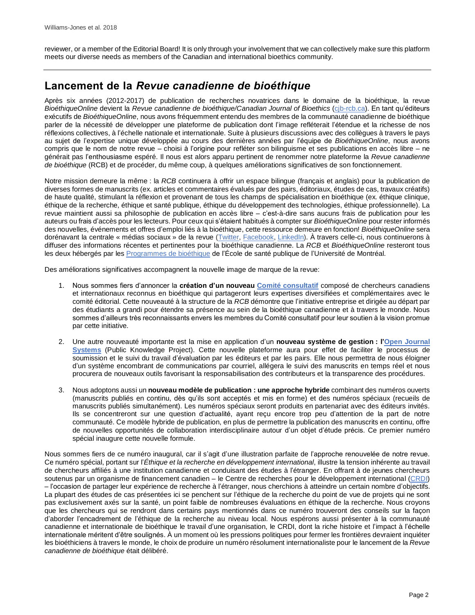reviewer, or a member of the Editorial Board! It is only through your involvement that we can collectively make sure this platform meets our diverse needs as members of the Canadian and international bioethics community.

# **Lancement de la** *Revue canadienne de bioéthique*

Après six années (2012-2017) de publication de recherches novatrices dans le domaine de la bioéthique, la revue *BioéthiqueOnline* devient la *Revue canadienne de bioéthique/Canadian Journal of Bioethics* [\(cjb-rcb.ca\)](https://cjb-rcb.ca/). En tant qu'éditeurs exécutifs de *BioéthiqueOnline*, nous avons fréquemment entendu des membres de la communauté canadienne de bioéthique parler de la nécessité de développer une plateforme de publication dont l'image refléterait l'étendue et la richesse de nos réflexions collectives, à l'échelle nationale et internationale. Suite à plusieurs discussions avec des collègues à travers le pays au sujet de l'expertise unique développée au cours des dernières années par l'équipe de *BioéthiqueOnline*, nous avons compris que le nom de notre revue – choisi à l'origine pour refléter son bilinguisme et ses publications en accès libre – ne générait pas l'enthousiasme espéré. Il nous est alors apparu pertinent de renommer notre plateforme la *Revue canadienne de bioéthique* (RCB) et de procéder, du même coup, à quelques améliorations significatives de son fonctionnement.

Notre mission demeure la même : la *RCB* continuera à offrir un espace bilingue (français et anglais) pour la publication de diverses formes de manuscrits (ex. articles et commentaires évalués par des pairs, éditoriaux, études de cas, travaux créatifs) de haute qualité, stimulant la réflexion et provenant de tous les champs de spécialisation en bioéthique (ex. éthique clinique, éthique de la recherche, éthique et santé publique, éthique du développement des technologies, éthique professionnelle). La revue maintient aussi sa philosophie de publication en accès libre – c'est-à-dire sans aucuns frais de publication pour les auteurs ou frais d'accès pour les lecteurs. Pour ceux qui s'étaient habitués à compter sur *BioéthiqueOnline* pour rester informés des nouvelles, événements et offres d'emploi liés à la bioéthique, cette ressource demeure en fonction! *BioéthiqueOnline* sera dorénavant la centrale « médias sociaux » de la revue [\(Twitter,](http://twitter.com/bioethonline?) [Facebook,](https://www.facebook.com/Bio%C3%A9thiqueonline-1377370145908565/) [LinkedIn\)](http://www.linkedin.com/company/bio-thiqueonline). À travers celle-ci, nous continuerons à diffuser des informations récentes et pertinentes pour la bioéthique canadienne. La *RCB* et *BioéthiqueOnline* resteront tous les deux hébergés par les Programmes [de bioéthique](http://espum.umontreal.ca/bioethique) de l'École de santé publique de l'Université de Montréal.

Des améliorations significatives accompagnent la nouvelle image de marque de la revue:

- 1. Nous sommes fiers d'annoncer la **création d'un nouveau [Comité consultatif](https://cjb-rcb.ca/index.php/cjb-rcb/navigationMenu/view/eab)** composé de chercheurs canadiens et internationaux reconnus en bioéthique qui partageront leurs expertises diversifiées et complémentaires avec le comité éditorial. Cette nouveauté à la structure de la *RCB* démontre que l'initiative entreprise et dirigée au départ par des étudiants a grandi pour étendre sa présence au sein de la bioéthique canadienne et à travers le monde. Nous sommes d'ailleurs très reconnaissants envers les membres du Comité consultatif pour leur soutien à la vision promue par cette initiative.
- 2. Une autre nouveauté importante est la mise en application d'un **nouveau système de gestion : [l'Open Journal](https://pkp.sfu.ca/ojs/)  [Systems](https://pkp.sfu.ca/ojs/)** (Public Knowledge Project). Cette nouvelle plateforme aura pour effet de faciliter le processus de soumission et le suivi du travail d'évaluation par les éditeurs et par les pairs. Elle nous permettra de nous éloigner d'un système encombrant de communications par courriel, allégera le suivi des manuscrits en temps réel et nous procurera de nouveaux outils favorisant la responsabilisation des contributeurs et la transparence des procédures.
- 3. Nous adoptons aussi un **nouveau modèle de publication : une approche hybride** combinant des numéros ouverts (manuscrits publiés en continu, dès qu'ils sont acceptés et mis en forme) et des numéros spéciaux (recueils de manuscrits publiés simultanément). Les numéros spéciaux seront produits en partenariat avec des éditeurs invités. Ils se concentreront sur une question d'actualité, ayant reçu encore trop peu d'attention de la part de notre communauté. Ce modèle hybride de publication, en plus de permettre la publication des manuscrits en continu, offre de nouvelles opportunités de collaboration interdisciplinaire autour d'un objet d'étude précis. Ce premier numéro spécial inaugure cette nouvelle formule.

Nous sommes fiers de ce numéro inaugural, car il s'agit d'une illustration parfaite de l'approche renouvelée de notre revue. Ce numéro spécial, portant sur l'*Éthique et la recherche en développement international*, illustre la tension inhérente au travail de chercheurs affiliés à une institution canadienne et conduisant des études à l'étranger. En offrant à de jeunes chercheurs soutenus par un organisme de financement canadien – le Centre de recherches pour le développement international [\(CRDI\)](https://www.idrc.ca/fr) – l'occasion de partager leur expérience de recherche à l'étranger, nous cherchions à atteindre un certain nombre d'objectifs. La plupart des études de cas présentées ici se penchent sur l'éthique de la recherche du point de vue de projets qui ne sont pas exclusivement axés sur la santé, un point faible de nombreuses évaluations en éthique de la recherche. Nous croyons que les chercheurs qui se rendront dans certains pays mentionnés dans ce numéro trouveront des conseils sur la façon d'aborder l'encadrement de l'éthique de la recherche au niveau local. Nous espérons aussi présenter à la communauté canadienne et internationale de bioéthique le travail d'une organisation, le CRDI, dont la riche histoire et l'impact à l'échelle internationale méritent d'être soulignés. À un moment où les pressions politiques pour fermer les frontières devraient inquiéter les bioéthiciens à travers le monde, le choix de produire un numéro résolument internationaliste pour le lancement de la *Revue canadienne de bioéthique* était délibéré.